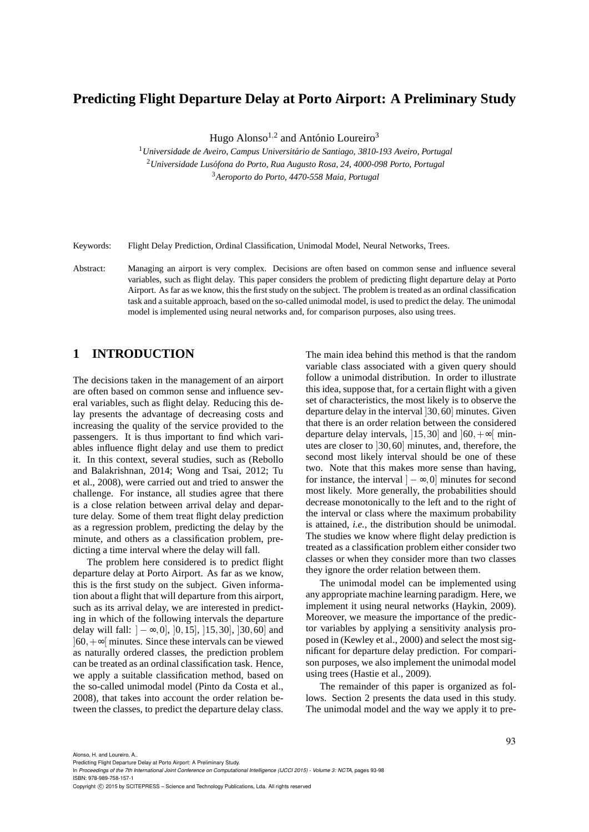## **Predicting Flight Departure Delay at Porto Airport: A Preliminary Study**

Hugo Alonso<sup>1,2</sup> and António Loureiro<sup>3</sup>

<sup>1</sup> Universidade de Aveiro, Campus Universitário de Santiago, 3810-193 Aveiro, Portugal <sup>2</sup>*Universidade Lus´ofona do Porto, Rua Augusto Rosa, 24, 4000-098 Porto, Portugal* <sup>3</sup>*Aeroporto do Porto, 4470-558 Maia, Portugal*

Keywords: Flight Delay Prediction, Ordinal Classification, Unimodal Model, Neural Networks, Trees.

Abstract: Managing an airport is very complex. Decisions are often based on common sense and influence several variables, such as flight delay. This paper considers the problem of predicting flight departure delay at Porto Airport. As far as we know, this the first study on the subject. The problem is treated as an ordinal classification task and a suitable approach, based on the so-called unimodal model, is used to predict the delay. The unimodal model is implemented using neural networks and, for comparison purposes, also using trees.

## **1 INTRODUCTION**

The decisions taken in the management of an airport are often based on common sense and influence several variables, such as flight delay. Reducing this delay presents the advantage of decreasing costs and increasing the quality of the service provided to the passengers. It is thus important to find which variables influence flight delay and use them to predict it. In this context, several studies, such as (Rebollo and Balakrishnan, 2014; Wong and Tsai, 2012; Tu et al., 2008), were carried out and tried to answer the challenge. For instance, all studies agree that there is a close relation between arrival delay and departure delay. Some of them treat flight delay prediction as a regression problem, predicting the delay by the minute, and others as a classification problem, predicting a time interval where the delay will fall.

The problem here considered is to predict flight departure delay at Porto Airport. As far as we know, this is the first study on the subject. Given information about a flight that will departure from this airport, such as its arrival delay, we are interested in predicting in which of the following intervals the departure delay will fall:  $]-\infty,0]$ ,  $[0,15]$ ,  $[15,30]$ ,  $[30,60]$  and ]60,+∞[ minutes. Since these intervals can be viewed as naturally ordered classes, the prediction problem can be treated as an ordinal classification task. Hence, we apply a suitable classification method, based on the so-called unimodal model (Pinto da Costa et al., 2008), that takes into account the order relation between the classes, to predict the departure delay class.

The main idea behind this method is that the random variable class associated with a given query should follow a unimodal distribution. In order to illustrate this idea, suppose that, for a certain flight with a given set of characteristics, the most likely is to observe the departure delay in the interval ]30,60] minutes. Given that there is an order relation between the considered departure delay intervals, [15,30] and  $[60, +\infty]$  minutes are closer to ]30,60] minutes, and, therefore, the second most likely interval should be one of these two. Note that this makes more sense than having, for instance, the interval  $] - \infty, 0]$  minutes for second most likely. More generally, the probabilities should decrease monotonically to the left and to the right of the interval or class where the maximum probability is attained, *i.e.*, the distribution should be unimodal. The studies we know where flight delay prediction is treated as a classification problem either consider two classes or when they consider more than two classes they ignore the order relation between them.

The unimodal model can be implemented using any appropriate machine learning paradigm. Here, we implement it using neural networks (Haykin, 2009). Moreover, we measure the importance of the predictor variables by applying a sensitivity analysis proposed in (Kewley et al., 2000) and select the most significant for departure delay prediction. For comparison purposes, we also implement the unimodal model using trees (Hastie et al., 2009).

The remainder of this paper is organized as follows. Section 2 presents the data used in this study. The unimodal model and the way we apply it to pre-

Alonso, H. and Loureiro, A..

In *Proceedings of the 7th International Joint Conference on Computational Intelligence (IJCCI 2015) - Volume 3: NCTA*, pages 93-98 ISBN: 978-989-758-157-1

Copyright (C) 2015 by SCITEPRESS - Science and Technology Publications, Lda. All rights reserved

Predicting Flight Departure Delay at Porto Airport: A Preliminary Study.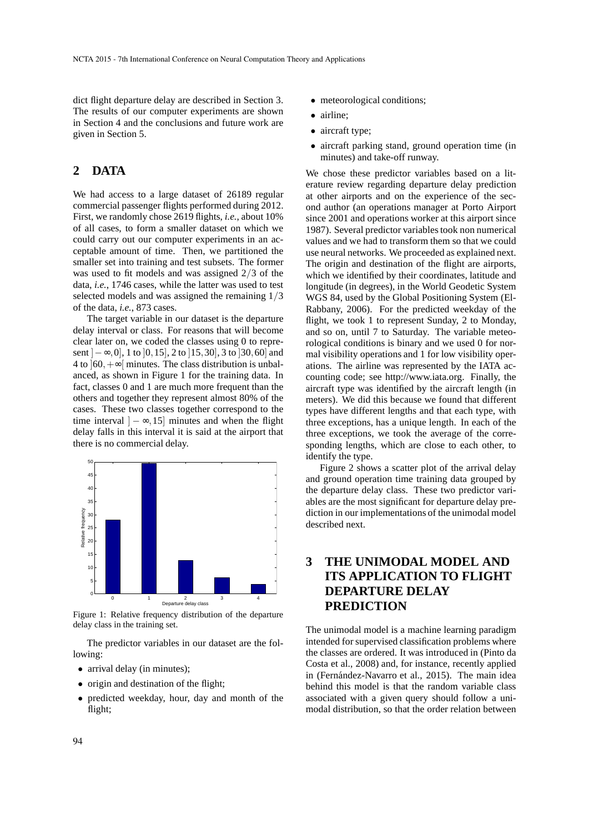dict flight departure delay are described in Section 3. The results of our computer experiments are shown in Section 4 and the conclusions and future work are given in Section 5.

## **2 DATA**

We had access to a large dataset of 26189 regular commercial passenger flights performed during 2012. First, we randomly chose 2619 flights, *i.e.*, about 10% of all cases, to form a smaller dataset on which we could carry out our computer experiments in an acceptable amount of time. Then, we partitioned the smaller set into training and test subsets. The former was used to fit models and was assigned 2/3 of the data, *i.e.*, 1746 cases, while the latter was used to test selected models and was assigned the remaining 1/3 of the data, *i.e.*, 873 cases.

The target variable in our dataset is the departure delay interval or class. For reasons that will become clear later on, we coded the classes using 0 to represent  $]-\infty,0]$ , 1 to  $[0,15]$ , 2 to  $[15,30]$ , 3 to  $[30,60]$  and 4 to  $\vert 60, +\infty \vert$  minutes. The class distribution is unbalanced, as shown in Figure 1 for the training data. In fact, classes 0 and 1 are much more frequent than the others and together they represent almost 80% of the cases. These two classes together correspond to the time interval  $] - \infty$ , 15] minutes and when the flight delay falls in this interval it is said at the airport that there is no commercial delay.



Figure 1: Relative frequency distribution of the departure delay class in the training set.

The predictor variables in our dataset are the following:

- arrival delay (in minutes);
- origin and destination of the flight;
- predicted weekday, hour, day and month of the flight;
- meteorological conditions;
- airline:
- aircraft type;
- aircraft parking stand, ground operation time (in minutes) and take-off runway.

We chose these predictor variables based on a literature review regarding departure delay prediction at other airports and on the experience of the second author (an operations manager at Porto Airport since 2001 and operations worker at this airport since 1987). Several predictor variables took non numerical values and we had to transform them so that we could use neural networks. We proceeded as explained next. The origin and destination of the flight are airports, which we identified by their coordinates, latitude and longitude (in degrees), in the World Geodetic System WGS 84, used by the Global Positioning System (El-Rabbany, 2006). For the predicted weekday of the flight, we took 1 to represent Sunday, 2 to Monday, and so on, until 7 to Saturday. The variable meteorological conditions is binary and we used 0 for normal visibility operations and 1 for low visibility operations. The airline was represented by the IATA accounting code; see http://www.iata.org. Finally, the aircraft type was identified by the aircraft length (in meters). We did this because we found that different types have different lengths and that each type, with three exceptions, has a unique length. In each of the three exceptions, we took the average of the corresponding lengths, which are close to each other, to identify the type.

Figure 2 shows a scatter plot of the arrival delay and ground operation time training data grouped by the departure delay class. These two predictor variables are the most significant for departure delay prediction in our implementations of the unimodal model described next.

# **3 THE UNIMODAL MODEL AND ITS APPLICATION TO FLIGHT DEPARTURE DELAY PREDICTION**

The unimodal model is a machine learning paradigm intended for supervised classification problems where the classes are ordered. It was introduced in (Pinto da Costa et al., 2008) and, for instance, recently applied in (Fernández-Navarro et al., 2015). The main idea behind this model is that the random variable class associated with a given query should follow a unimodal distribution, so that the order relation between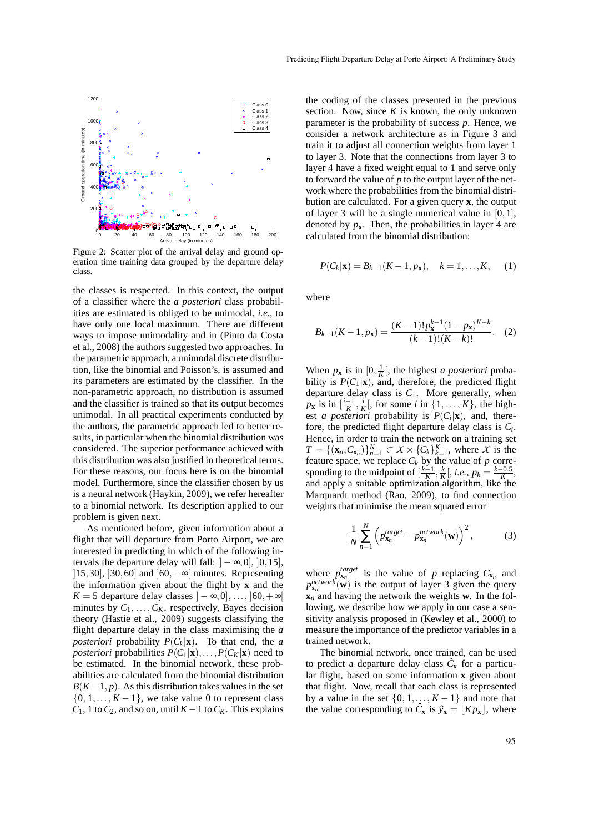

Figure 2: Scatter plot of the arrival delay and ground operation time training data grouped by the departure delay class.

the classes is respected. In this context, the output of a classifier where the *a posteriori* class probabilities are estimated is obliged to be unimodal, *i.e.*, to have only one local maximum. There are different ways to impose unimodality and in (Pinto da Costa et al., 2008) the authors suggested two approaches. In the parametric approach, a unimodal discrete distribution, like the binomial and Poisson's, is assumed and its parameters are estimated by the classifier. In the non-parametric approach, no distribution is assumed and the classifier is trained so that its output becomes unimodal. In all practical experiments conducted by the authors, the parametric approach led to better results, in particular when the binomial distribution was considered. The superior performance achieved with this distribution was also justified in theoretical terms. For these reasons, our focus here is on the binomial model. Furthermore, since the classifier chosen by us is a neural network (Haykin, 2009), we refer hereafter to a binomial network. Its description applied to our problem is given next.

As mentioned before, given information about a flight that will departure from Porto Airport, we are interested in predicting in which of the following intervals the departure delay will fall:  $]-\infty,0]$ ,  $[0,15]$ , [15,30], [30,60] and  $[60, +\infty]$  minutes. Representing the information given about the flight by **x** and the *K* = 5 departure delay classes  $\vert -\infty, 0 \vert, ..., \vert 60, +\infty \vert$ minutes by  $C_1, \ldots, C_K$ , respectively, Bayes decision theory (Hastie et al., 2009) suggests classifying the flight departure delay in the class maximising the *a posteriori* probability  $P(C_k|\mathbf{x})$ . To that end, the *a posteriori* probabilities  $P(C_1|\mathbf{x}), \ldots, P(C_K|\mathbf{x})$  need to be estimated. In the binomial network, these probabilities are calculated from the binomial distribution  $B(K-1, p)$ . As this distribution takes values in the set  $\{0, 1, \ldots, K-1\}$ , we take value 0 to represent class  $C_1$ , 1 to  $C_2$ , and so on, until  $K-1$  to  $C_K$ . This explains

the coding of the classes presented in the previous section. Now, since  $K$  is known, the only unknown parameter is the probability of success *p*. Hence, we consider a network architecture as in Figure 3 and train it to adjust all connection weights from layer 1 to layer 3. Note that the connections from layer 3 to layer 4 have a fixed weight equal to 1 and serve only to forward the value of *p* to the output layer of the network where the probabilities from the binomial distribution are calculated. For a given query **x**, the output of layer 3 will be a single numerical value in [0,1], denoted by  $p_x$ . Then, the probabilities in layer 4 are calculated from the binomial distribution:

$$
P(C_k|\mathbf{x}) = B_{k-1}(K-1, p_{\mathbf{x}}), \quad k = 1, ..., K,
$$
 (1)

where

$$
B_{k-1}(K-1, p_{\mathbf{x}}) = \frac{(K-1)!p_{\mathbf{x}}^{k-1}(1-p_{\mathbf{x}})^{K-k}}{(k-1)!(K-k)!}.
$$
 (2)

When  $p_x$  is in  $[0, \frac{1}{K}]$ , the highest *a posteriori* probability is  $P(C_1|\mathbf{x})$ , and, therefore, the predicted flight departure delay class is  $C_1$ . More generally, when  $p_{\mathbf{x}}$  is in  $\left[\frac{i-1}{K}, \frac{i}{K}\right]$ , for some *i* in  $\{1, \ldots, K\}$ , the highest *a posteriori* probability is  $P(C_i|\mathbf{x})$ , and, therefore, the predicted flight departure delay class is *C<sup>i</sup>* . Hence, in order to train the network on a training set  $T = \{ (\mathbf{x}_n, C_{\mathbf{x}_n}) \}_{n=1}^N \subset X \times \{C_k\}_{k=1}^K$ , where *X* is the feature space, we replace  $C_k$  by the value of  $p$  corresponding to the midpoint of  $\left[\frac{k-1}{K}, \frac{k}{K}\right]$ , *i.e.*,  $p_k = \frac{k-0.5}{K}$ , and apply a suitable optimization algorithm, like the Marquardt method (Rao, 2009), to find connection weights that minimise the mean squared error

$$
\frac{1}{N} \sum_{n=1}^{N} \left( p_{\mathbf{x}_n}^{target} - p_{\mathbf{x}_n}^{network}(\mathbf{w}) \right)^2, \tag{3}
$$

where  $p_{\mathbf{x}_n}^{target}$  is the value of *p* replacing  $C_{\mathbf{x}_n}$  and  $p_{\mathbf{x}_n}^{\text{network}}(\mathbf{w})$  is the output of layer 3 given the query **x***<sup>n</sup>* and having the network the weights **w**. In the following, we describe how we apply in our case a sensitivity analysis proposed in (Kewley et al., 2000) to measure the importance of the predictor variables in a trained network.

The binomial network, once trained, can be used to predict a departure delay class  $\hat{C}_x$  for a particular flight, based on some information **x** given about that flight. Now, recall that each class is represented by a value in the set  $\{0, 1, \ldots, K-1\}$  and note that the value corresponding to  $\hat{C}_x$  is  $\hat{y}_x = [Kp_x]$ , where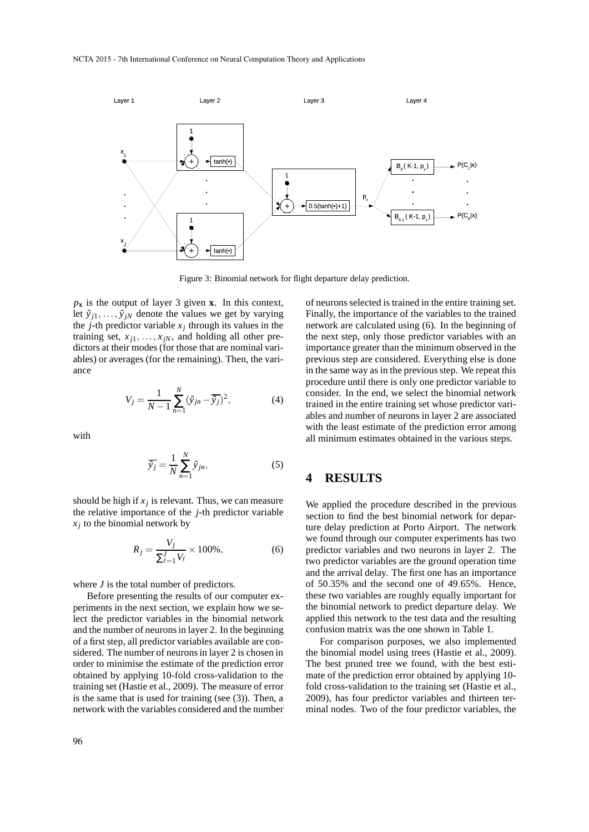

Figure 3: Binomial network for flight departure delay prediction.

 $p_x$  is the output of layer 3 given **x**. In this context, let  $\hat{y}_{j1}, \ldots, \hat{y}_{jN}$  denote the values we get by varying the *j*-th predictor variable  $x_j$  through its values in the training set,  $x_{j1}, \ldots, x_{jN}$ , and holding all other predictors at their modes (for those that are nominal variables) or averages (for the remaining). Then, the variance

$$
V_j = \frac{1}{N-1} \sum_{n=1}^{N} (\hat{y}_{jn} - \overline{\hat{y}_j})^2,
$$
 (4)

with

$$
\overline{\hat{y}_j} = \frac{1}{N} \sum_{n=1}^{N} \hat{y}_{jn},
$$
\n(5)

should be high if  $x_j$  is relevant. Thus, we can measure the relative importance of the *j*-th predictor variable *xj* to the binomial network by

$$
R_j = \frac{V_j}{\sum_{\ell=1}^J V_\ell} \times 100\%,\tag{6}
$$

where *J* is the total number of predictors.

Before presenting the results of our computer experiments in the next section, we explain how we select the predictor variables in the binomial network and the number of neurons in layer 2. In the beginning of a first step, all predictor variables available are considered. The number of neurons in layer 2 is chosen in order to minimise the estimate of the prediction error obtained by applying 10-fold cross-validation to the training set (Hastie et al., 2009). The measure of error is the same that is used for training (see (3)). Then, a network with the variables considered and the number

of neurons selected is trained in the entire training set. Finally, the importance of the variables to the trained network are calculated using (6). In the beginning of the next step, only those predictor variables with an importance greater than the minimum observed in the previous step are considered. Everything else is done in the same way as in the previous step. We repeat this procedure until there is only one predictor variable to consider. In the end, we select the binomial network trained in the entire training set whose predictor variables and number of neurons in layer 2 are associated with the least estimate of the prediction error among all minimum estimates obtained in the various steps.

#### **4 RESULTS**

We applied the procedure described in the previous section to find the best binomial network for departure delay prediction at Porto Airport. The network we found through our computer experiments has two predictor variables and two neurons in layer 2. The two predictor variables are the ground operation time and the arrival delay. The first one has an importance of 50.35% and the second one of 49.65%. Hence, these two variables are roughly equally important for the binomial network to predict departure delay. We applied this network to the test data and the resulting confusion matrix was the one shown in Table 1.

For comparison purposes, we also implemented the binomial model using trees (Hastie et al., 2009). The best pruned tree we found, with the best estimate of the prediction error obtained by applying 10 fold cross-validation to the training set (Hastie et al., 2009), has four predictor variables and thirteen terminal nodes. Two of the four predictor variables, the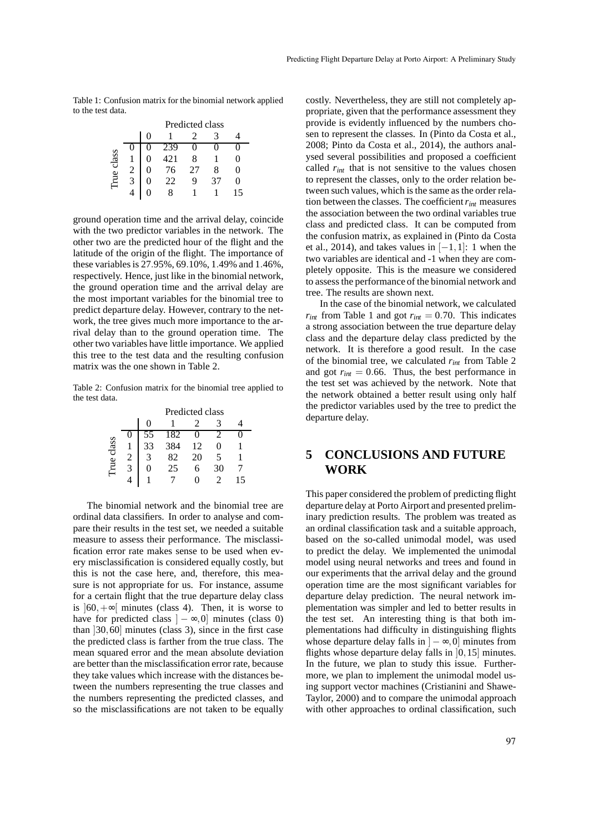Table 1: Confusion matrix for the binomial network applied to the test data.

|                |   | Predicted class |     |    |    |   |  |  |  |  |
|----------------|---|-----------------|-----|----|----|---|--|--|--|--|
|                |   |                 |     |    |    |   |  |  |  |  |
| class<br>l'rue |   |                 | 239 |    |    |   |  |  |  |  |
|                |   |                 | 421 | 8  |    | 0 |  |  |  |  |
|                |   |                 | 76  | 27 | x  | 0 |  |  |  |  |
|                | 3 |                 | 22  | q  | 37 | 0 |  |  |  |  |
|                |   |                 |     |    |    |   |  |  |  |  |

ground operation time and the arrival delay, coincide with the two predictor variables in the network. The other two are the predicted hour of the flight and the latitude of the origin of the flight. The importance of these variables is 27.95%, 69.10%, 1.49% and 1.46%, respectively. Hence, just like in the binomial network, the ground operation time and the arrival delay are the most important variables for the binomial tree to predict departure delay. However, contrary to the network, the tree gives much more importance to the arrival delay than to the ground operation time. The other two variables have little importance. We applied this tree to the test data and the resulting confusion matrix was the one shown in Table 2.

Table 2: Confusion matrix for the binomial tree applied to the test data.

|            | Predicted class |     |    |    |   |  |  |  |  |
|------------|-----------------|-----|----|----|---|--|--|--|--|
|            | $\theta$        |     |    |    |   |  |  |  |  |
| True class | 55              | 182 | 0  |    |   |  |  |  |  |
|            | 33              | 384 | 12 | 0  |   |  |  |  |  |
|            |                 | 82  | 20 |    |   |  |  |  |  |
|            |                 | 25  | 6  | 30 |   |  |  |  |  |
|            |                 |     |    |    | 5 |  |  |  |  |

The binomial network and the binomial tree are ordinal data classifiers. In order to analyse and compare their results in the test set, we needed a suitable measure to assess their performance. The misclassification error rate makes sense to be used when every misclassification is considered equally costly, but this is not the case here, and, therefore, this measure is not appropriate for us. For instance, assume for a certain flight that the true departure delay class is  $|60, +\infty|$  minutes (class 4). Then, it is worse to have for predicted class  $]-\infty,0]$  minutes (class 0) than ]30,60] minutes (class 3), since in the first case the predicted class is farther from the true class. The mean squared error and the mean absolute deviation are better than the misclassification error rate, because they take values which increase with the distances between the numbers representing the true classes and the numbers representing the predicted classes, and so the misclassifications are not taken to be equally

costly. Nevertheless, they are still not completely appropriate, given that the performance assessment they provide is evidently influenced by the numbers chosen to represent the classes. In (Pinto da Costa et al., 2008; Pinto da Costa et al., 2014), the authors analysed several possibilities and proposed a coefficient called  $r_{int}$  that is not sensitive to the values chosen to represent the classes, only to the order relation between such values, which is the same as the order relation between the classes. The coefficient*rint* measures the association between the two ordinal variables true class and predicted class. It can be computed from the confusion matrix, as explained in (Pinto da Costa et al., 2014), and takes values in  $[-1,1]$ : 1 when the two variables are identical and -1 when they are completely opposite. This is the measure we considered to assess the performance of the binomial network and tree. The results are shown next.

In the case of the binomial network, we calculated  $r_{int}$  from Table 1 and got  $r_{int} = 0.70$ . This indicates a strong association between the true departure delay class and the departure delay class predicted by the network. It is therefore a good result. In the case of the binomial tree, we calculated *rint* from Table 2 and got  $r_{int} = 0.66$ . Thus, the best performance in the test set was achieved by the network. Note that the network obtained a better result using only half the predictor variables used by the tree to predict the departure delay.

## **5 CONCLUSIONS AND FUTURE WORK**

This paper considered the problem of predicting flight departure delay at Porto Airport and presented preliminary prediction results. The problem was treated as an ordinal classification task and a suitable approach, based on the so-called unimodal model, was used to predict the delay. We implemented the unimodal model using neural networks and trees and found in our experiments that the arrival delay and the ground operation time are the most significant variables for departure delay prediction. The neural network implementation was simpler and led to better results in the test set. An interesting thing is that both implementations had difficulty in distinguishing flights whose departure delay falls in  $] - \infty, 0]$  minutes from flights whose departure delay falls in  $[0, 15]$  minutes. In the future, we plan to study this issue. Furthermore, we plan to implement the unimodal model using support vector machines (Cristianini and Shawe-Taylor, 2000) and to compare the unimodal approach with other approaches to ordinal classification, such